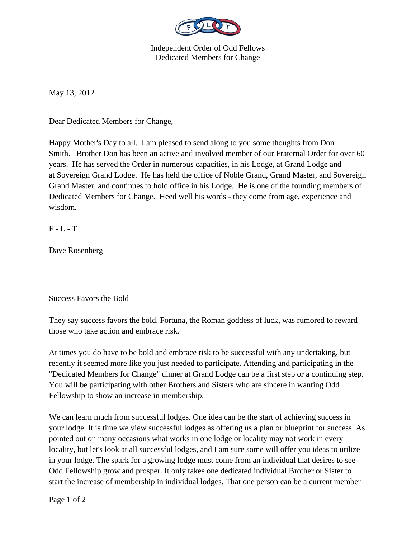

Independent Order of Odd Fellows Dedicated Members for Change

May 13, 2012

Dear Dedicated Members for Change,

Happy Mother's Day to all. I am pleased to send along to you some thoughts from Don Smith. Brother Don has been an active and involved member of our Fraternal Order for over 60 years. He has served the Order in numerous capacities, in his Lodge, at Grand Lodge and at Sovereign Grand Lodge. He has held the office of Noble Grand, Grand Master, and Sovereign Grand Master, and continues to hold office in his Lodge. He is one of the founding members of Dedicated Members for Change. Heed well his words - they come from age, experience and wisdom.

F - L - T

Dave Rosenberg

Success Favors the Bold

They say success favors the bold. Fortuna, the Roman goddess of luck, was rumored to reward those who take action and embrace risk.

At times you do have to be bold and embrace risk to be successful with any undertaking, but recently it seemed more like you just needed to participate. Attending and participating in the "Dedicated Members for Change" dinner at Grand Lodge can be a first step or a continuing step. You will be participating with other Brothers and Sisters who are sincere in wanting Odd Fellowship to show an increase in membership.

We can learn much from successful lodges. One idea can be the start of achieving success in your lodge. It is time we view successful lodges as offering us a plan or blueprint for success. As pointed out on many occasions what works in one lodge or locality may not work in every locality, but let's look at all successful lodges, and I am sure some will offer you ideas to utilize in your lodge. The spark for a growing lodge must come from an individual that desires to see Odd Fellowship grow and prosper. It only takes one dedicated individual Brother or Sister to start the increase of membership in individual lodges. That one person can be a current member